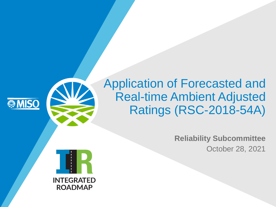

#### Application of Forecasted and Real-time Ambient Adjusted Ratings (RSC-2018-54A)

**Reliability Subcommittee** October 28, 2021

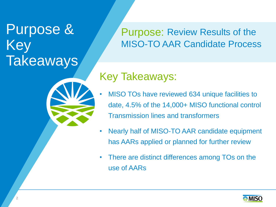## Purpose & Key **Takeaways**

Purpose: Review Results of the MISO-TO AAR Candidate Process

#### Key Takeaways:

- MISO TOs have reviewed 634 unique facilities to date, 4.5% of the 14,000+ MISO functional control Transmission lines and transformers
- Nearly half of MISO-TO AAR candidate equipment has AARs applied or planned for further review
- There are distinct differences among TOs on the use of AARs

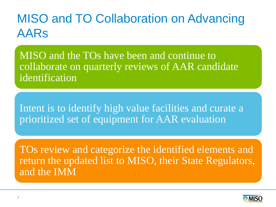#### MISO and TO Collaboration on Advancing AARs

MISO and the TOs have been and continue to collaborate on quarterly reviews of AAR candidate identification

Intent is to identify high value facilities and curate a prioritized set of equipment for AAR evaluation

TOs review and categorize the identified elements and return the updated list to MISO, their State Regulators, and the IMM

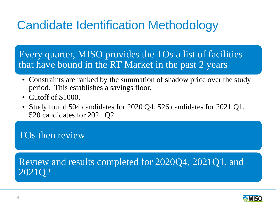## Candidate Identification Methodology

Every quarter, MISO provides the TOs a list of facilities that have bound in the RT Market in the past 2 years

- Constraints are ranked by the summation of shadow price over the study period. This establishes a savings floor.
- Cutoff of \$1000.
- Study found 504 candidates for 2020 Q4, 526 candidates for 2021 Q1, 520 candidates for 2021 Q2

#### TOs then review

#### Review and results completed for 2020Q4, 2021Q1, and 2021Q2

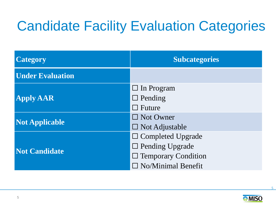# Candidate Facility Evaluation Categories

| <b>Category</b>         | <b>Subcategories</b>       |  |
|-------------------------|----------------------------|--|
| <b>Under Evaluation</b> |                            |  |
| <b>Apply AAR</b>        | $\Box$ In Program          |  |
|                         | $\Box$ Pending             |  |
|                         | $\Box$ Future              |  |
| <b>Not Applicable</b>   | $\Box$ Not Owner           |  |
|                         | $\square$ Not Adjustable   |  |
| <b>Not Candidate</b>    | $\Box$ Completed Upgrade   |  |
|                         | $\Box$ Pending Upgrade     |  |
|                         | $\Box$ Temporary Condition |  |
|                         | $\Box$ No/Minimal Benefit  |  |



5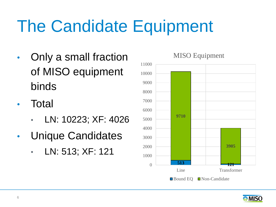# The Candidate Equipment

- Only a small fraction of MISO equipment binds
- **Total** 
	- LN: 10223; XF: 4026
- Unique Candidates
	- LN: 513; XF: 121





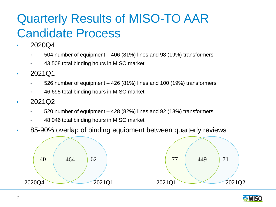## Quarterly Results of MISO-TO AAR Candidate Process

- 2020Q4
	- 504 number of equipment 406 (81%) lines and 98 (19%) transformers
	- 43,508 total binding hours in MISO market
- 2021Q1
	- $\cdot$  526 number of equipment 426 (81%) lines and 100 (19%) transformers
	- 46,695 total binding hours in MISO market
- 2021Q2
	- 520 number of equipment 428 (82%) lines and 92 (18%) transformers
	- 48,046 total binding hours in MISO market
- 85-90% overlap of binding equipment between quarterly reviews



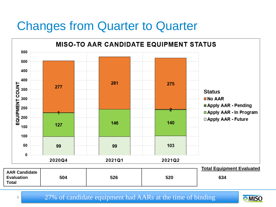#### Changes from Quarter to Quarter



**MISO**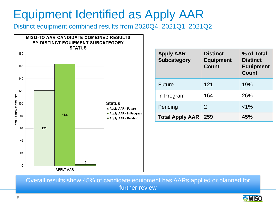#### Equipment Identified as Apply AAR

Distinct equipment combined results from 2020Q4, 2021Q1, 2021Q2



| <b>Apply AAR</b><br><b>Subcategory</b> | <b>Distinct</b><br><b>Equipment</b><br><b>Count</b> | % of Total<br><b>Distinct</b><br><b>Equipment</b><br><b>Count</b> |
|----------------------------------------|-----------------------------------------------------|-------------------------------------------------------------------|
| <b>Future</b>                          | 121                                                 | 19%                                                               |
| In Program                             | 164                                                 | 26%                                                               |
| Pending                                | 2                                                   | $< 1\%$                                                           |
| <b>Total Apply AAR</b>                 | 259                                                 | 45%                                                               |

Overall results show 45% of candidate equipment has AARs applied or planned for further review

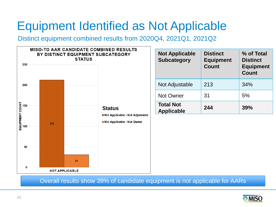#### Equipment Identified as Not Applicable

Distinct equipment combined results from 2020Q4, 2021Q1, 2021Q2



Overall results show 39% of candidate equipment is not applicable for AARs

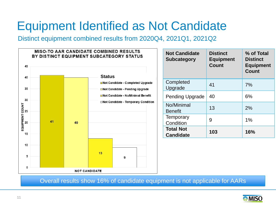#### Equipment Identified as Not Candidate

Distinct equipment combined results from 2020Q4, 2021Q1, 2021Q2



Overall results show 16% of candidate equipment is not applicable for AARs

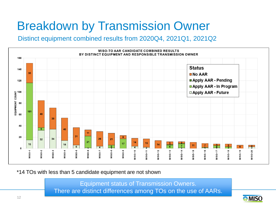## Breakdown by Transmission Owner

Distinct equipment combined results from 2020Q4, 2021Q1, 2021Q2



\*14 TOs with less than 5 candidate equipment are not shown

Equipment status of Transmission Owners. There are distinct differences among TOs on the use of AARs.

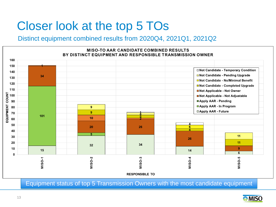#### Closer look at the top 5 TOs

#### Distinct equipment combined results from 2020Q4, 2021Q1, 2021Q2



Equipment status of top 5 Transmission Owners with the most candidate equipment

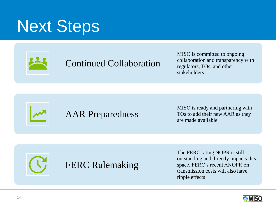# Next Steps



#### Continued Collaboration

MISO is committed to ongoing collaboration and transparency with regulators, TOs, and other stakeholders





MISO is ready and partnering with TOs to add their new AAR as they are made available.



The FERC rating NOPR is still outstanding and directly impacts this space. FERC's recent ANOPR on transmission costs will also have ripple effects